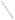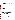# **Technical Factsheet on: 1,2-DICHLOROPROPANE**

[List of Contaminants](http://www.epa.gov/safewater/hfacts.html) 

 As part of the Drinking Water and Health pages, this fact sheet is part of a larger publication: **National Primary Drinking Water Regulations** 

# **Drinking Water Standards**

MCLG: zero mg/L MCL: 0.005 mg/L HAL(child): 10-day: 0.09 mg/L

# **Health Effects Summary**

 Acute: EPA has found short-term exposures to 1,2-dichloropropane at levels above the MCL to potentially impair the functions of the liver, kidneys, adrenal glands, bladder, and the gastrointestinal and respiratory tracts.

 consuming 1 liter of water per day: a ten-day exposure to 0.09 mg/L. Drinking water levels which are considered "safe" for short-term exposures: For a 10-kg (22 lb.) child

 potentially affect the liver, kidneys, bladder, gastrointestinal tract and the respiratory tract. Chronic: Long-term exposures to 1,2-dichloropropane at levels above the MCL have been found to

 Cancer: There is some evidence that 1,2-dichloropropane may have the potential to cause cancer from a lifetime exposure at levels above the MCL.

# **Usage Patterns**

Chemical, the only listed producer, discontinued its production in 1991. Production of 1,2- dichloropropane has decreased greatly since a 1980 report of 77 million lbs. Dow

Chemical, the only listed producer, discontinued its production in 1991.<br>The greatest use of 1,2-dichloropropane is as a chemical intermediate in the production of carbon tetrachloride and perchloroethylene, lead scavenger for antiknock fluids, solvent.

Other uses have included: ion exchange resin manufacture, paper coating, scouring, spotting, metal degreasing agent, soil fumigant for nematodes, and insecticide for stored grain.

# **Release Patterns**

1,2-Dichloropropane may be released into the atmosphere or in wastewater during its production or use as an intermediate in chemical manufacture. There were also significant releases during its former use as a soil fumigant. It may also be released as leachate from municipal landfills.

 chlorinated compounds. The largest releases occurred in New York. From 1987 to 1993, according to EPA's Toxic Chemical Release Inventory, 1,2-dichloropropane releases to land and water totalled nearly 104,000 lbs., of which over 98,000 lbs was released to water. These releases were primarily from chemical industries which use it as an intermediate in producing other

# **Environmental Fate**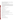If injected into soil 1,2-dichloropropane will be primarily lost by volatilization. 1,2- Dichloropropane has been detected in groundwater where its fate is unknown.

If released to surface water, 1,2-dichloropropane will be lost by volatilization with half-lives ranging from approximately 6 hr for a river to 10 days for a lake.

Adsorption to soil and bioconcentration in fish will not be significant.

 In air it will react with photochemically generated hydroxyl radicals (half-life >23 days) and be washed out by rain. Therefore, there will be ample time for dispersal as is evidenced by its presence in ambient air.

 occur during and after its application as a soil fumigant as well as during its production and other uses. Human exposure is primarily due to inhalation. Occupation exposure, both dermal and via inhalation, will

#### **Chemical/Physical Properties**

CAS Number: 78-87-5

Color/ Form/Odor: Colorless liquid with a chloroform-like odor

M.P.: -100.4 C B.P.: 96.4 C

Octanol/Water Partition (Kow): Log Kow = 2.28

Vapor Pressure: 50 mm Hg at 25 C

Density/Spec. Grav.: 1.16 at 25 C

Density/Spec. Grav.: 1.16 at 25 C<br>Solubility: 26 percent by weight in water at 25 C; moderately soluble in water

Soil sorption coefficient: Koc = 47 in silt loam; very high mobility in soil

Odor/Taste Thresholds: Odor in air not noticeable at 15 to 23 ppm

Bioconcentration Factor: Log BCF is less than 1 in fish; not expected to bioconcentrate in aquatic organisms.

Henry's Law Coefficient: 0.0021 atm-cu m/mole; highly volatile

Trade Names/Synonyms: Propylene dichloride; major component of Nematox, Vidden D, and Dowfume EB-5

#### **Other Regulatory Information**

Monitoring:

-- For Ground/Surface Water Sources:

Initial Frequency- 4 quarterly samples every 3 years

Repeat Frequency- Annually after 1 year of no detection